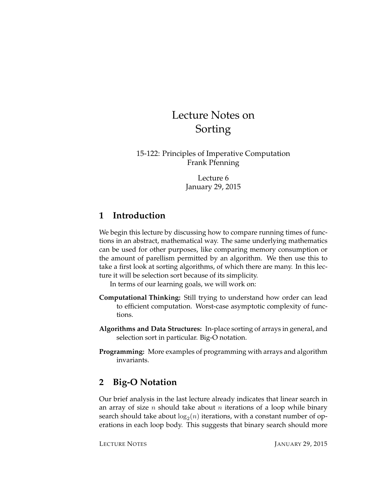# Lecture Notes on Sorting

15-122: Principles of Imperative Computation Frank Pfenning

> Lecture 6 January 29, 2015

# **1 Introduction**

We begin this lecture by discussing how to compare running times of functions in an abstract, mathematical way. The same underlying mathematics can be used for other purposes, like comparing memory consumption or the amount of parellism permitted by an algorithm. We then use this to take a first look at sorting algorithms, of which there are many. In this lecture it will be selection sort because of its simplicity.

In terms of our learning goals, we will work on:

- **Computational Thinking:** Still trying to understand how order can lead to efficient computation. Worst-case asymptotic complexity of functions.
- **Algorithms and Data Structures:** In-place sorting of arrays in general, and selection sort in particular. Big-O notation.
- **Programming:** More examples of programming with arrays and algorithm invariants.

# **2 Big-O Notation**

Our brief analysis in the last lecture already indicates that linear search in an array of size *n* should take about *n* iterations of a loop while binary search should take about  $\log_2(n)$  iterations, with a constant number of operations in each loop body. This suggests that binary search should more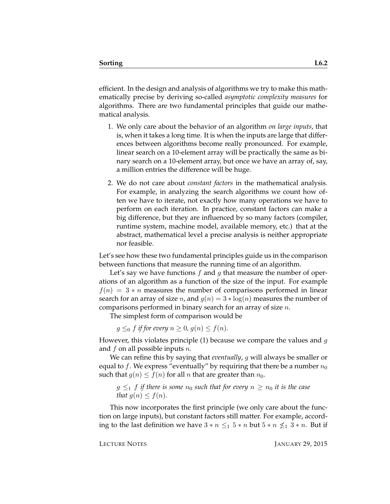efficient. In the design and analysis of algorithms we try to make this mathematically precise by deriving so-called *asymptotic complexity measures* for algorithms. There are two fundamental principles that guide our mathematical analysis.

- 1. We only care about the behavior of an algorithm *on large inputs*, that is, when it takes a long time. It is when the inputs are large that differences between algorithms become really pronounced. For example, linear search on a 10-element array will be practically the same as binary search on a 10-element array, but once we have an array of, say, a million entries the difference will be huge.
- 2. We do not care about *constant factors* in the mathematical analysis. For example, in analyzing the search algorithms we count how often we have to iterate, not exactly how many operations we have to perform on each iteration. In practice, constant factors can make a big difference, but they are influenced by so many factors (compiler, runtime system, machine model, available memory, etc.) that at the abstract, mathematical level a precise analysis is neither appropriate nor feasible.

Let's see how these two fundamental principles guide us in the comparison between functions that measure the running time of an algorithm.

Let's say we have functions  $f$  and  $g$  that measure the number of operations of an algorithm as a function of the size of the input. For example  $f(n) = 3 * n$  measures the number of comparisons performed in linear search for an array of size *n*, and  $g(n) = 3 * log(n)$  measures the number of comparisons performed in binary search for an array of size  $n$ .

The simplest form of comparison would be

 $g \leq_0 f$  *if for every*  $n \geq 0$ ,  $g(n) \leq f(n)$ *.* 

However, this violates principle (1) because we compare the values and  $g$ and  $f$  on all possible inputs  $n$ .

We can refine this by saying that *eventually*, g will always be smaller or equal to f. We express "eventually" by requiring that there be a number  $n_0$ such that  $g(n) \le f(n)$  for all n that are greater than  $n_0$ .

 $g \leq_1 f$  *if there is some*  $n_0$  *such that for every*  $n \geq n_0$  *it is the case that*  $g(n) \leq f(n)$ *.* 

This now incorporates the first principle (we only care about the function on large inputs), but constant factors still matter. For example, according to the last definition we have  $3 * n \leq 1$   $5 * n$  but  $5 * n \nleq 1$   $3 * n$ . But if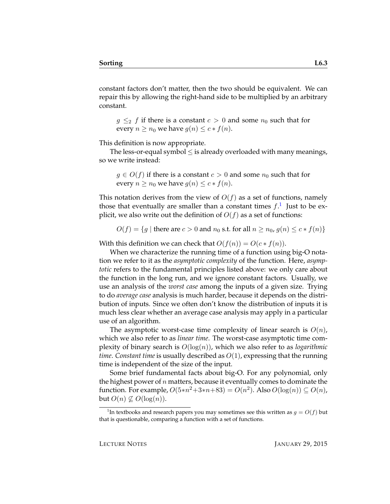constant factors don't matter, then the two should be equivalent. We can repair this by allowing the right-hand side to be multiplied by an arbitrary constant.

 $g \leq_2 f$  if there is a constant  $c > 0$  and some  $n_0$  such that for every  $n \geq n_0$  we have  $g(n) \leq c * f(n)$ .

This definition is now appropriate.

The less-or-equal symbol  $\leq$  is already overloaded with many meanings, so we write instead:

 $g \in O(f)$  if there is a constant  $c > 0$  and some  $n_0$  such that for every  $n \geq n_0$  we have  $g(n) \leq c * f(n)$ .

This notation derives from the view of  $O(f)$  as a set of functions, namely those that eventually are smaller than a constant times  $f$ .<sup>[1](#page-2-0)</sup> Just to be explicit, we also write out the definition of  $O(f)$  as a set of functions:

 $O(f) = \{g \mid \text{there are } c > 0 \text{ and } n_0 \text{ s.t. for all } n \geq n_0, g(n) \leq c * f(n)\}\$ 

With this definition we can check that  $O(f(n)) = O(c * f(n)).$ 

When we characterize the running time of a function using big-O notation we refer to it as the *asymptotic complexity* of the function. Here, *asymptotic* refers to the fundamental principles listed above: we only care about the function in the long run, and we ignore constant factors. Usually, we use an analysis of the *worst case* among the inputs of a given size. Trying to do *average case* analysis is much harder, because it depends on the distribution of inputs. Since we often don't know the distribution of inputs it is much less clear whether an average case analysis may apply in a particular use of an algorithm.

The asymptotic worst-case time complexity of linear search is  $O(n)$ , which we also refer to as *linear time*. The worst-case asymptotic time complexity of binary search is  $O(log(n))$ , which we also refer to as *logarithmic time*. *Constant time* is usually described as O(1), expressing that the running time is independent of the size of the input.

Some brief fundamental facts about big-O. For any polynomial, only the highest power of  $n$  matters, because it eventually comes to dominate the function. For example,  $O(5*n^2+3*n+83) = O(n^2)$ . Also  $O(\log(n)) \subseteq O(n)$ , but  $O(n) \nsubseteq O(\log(n))$ .

<span id="page-2-0"></span><sup>&</sup>lt;sup>1</sup>In textbooks and research papers you may sometimes see this written as  $g = O(f)$  but that is questionable, comparing a function with a set of functions.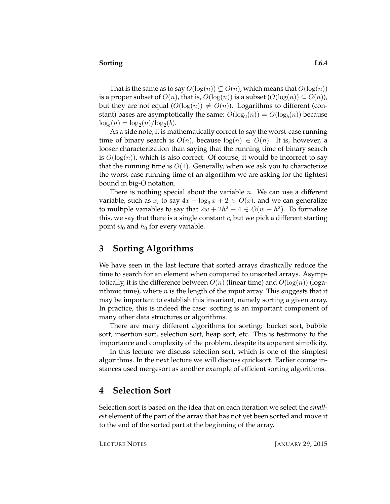That is the same as to say  $O(\log(n)) \subset O(n)$ , which means that  $O(\log(n))$ is a proper subset of  $O(n)$ , that is,  $O(log(n))$  is a subset  $(O(log(n)) \subseteq O(n)$ , but they are not equal  $(O(\log(n)) \neq O(n))$ . Logarithms to different (constant) bases are asymptotically the same:  $O(\log_2(n)) = O(\log_b(n))$  because  $\log_b(n) = \log_2(n) / \log_2(b).$ 

As a side note, it is mathematically correct to say the worst-case running time of binary search is  $O(n)$ , because  $log(n) \in O(n)$ . It is, however, a looser characterization than saying that the running time of binary search is  $O(log(n))$ , which is also correct. Of course, it would be incorrect to say that the running time is  $O(1)$ . Generally, when we ask you to characterize the worst-case running time of an algorithm we are asking for the tightest bound in big-O notation.

There is nothing special about the variable  $n$ . We can use a different variable, such as x, to say  $4x + \log_9 x + 2 \in O(x)$ , and we can generalize to multiple variables to say that  $2w + 2h^2 + 4 \in O(w + h^2)$ . To formalize this, we say that there is a single constant  $c$ , but we pick a different starting point  $w_0$  and  $h_0$  for every variable.

### **3 Sorting Algorithms**

We have seen in the last lecture that sorted arrays drastically reduce the time to search for an element when compared to unsorted arrays. Asymptotically, it is the difference between  $O(n)$  (linear time) and  $O(\log(n))$  (logarithmic time), where n is the length of the input array. This suggests that it may be important to establish this invariant, namely sorting a given array. In practice, this is indeed the case: sorting is an important component of many other data structures or algorithms.

There are many different algorithms for sorting: bucket sort, bubble sort, insertion sort, selection sort, heap sort, etc. This is testimony to the importance and complexity of the problem, despite its apparent simplicity.

In this lecture we discuss selection sort, which is one of the simplest algorithms. In the next lecture we will discuss quicksort. Earlier course instances used mergesort as another example of efficient sorting algorithms.

#### **4 Selection Sort**

Selection sort is based on the idea that on each iteration we select the *smallest* element of the part of the array that has not yet been sorted and move it to the end of the sorted part at the beginning of the array.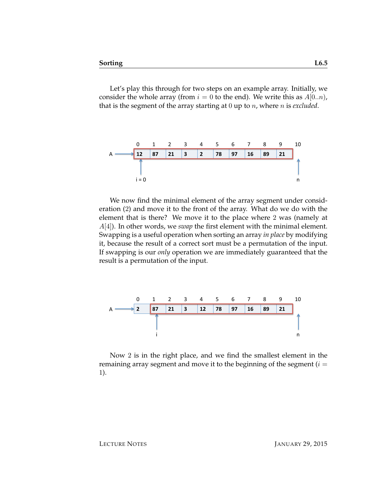Let's play this through for two steps on an example array. Initially, we consider the whole array (from  $i = 0$  to the end). We write this as  $A[0..n)$ , that is the segment of the array starting at 0 up to n, where n is *excluded*.



We now find the minimal element of the array segment under consideration (2) and move it to the front of the array. What do we do with the element that is there? We move it to the place where 2 was (namely at A[4]). In other words, we *swap* the first element with the minimal element. Swapping is a useful operation when sorting an array *in place* by modifying it, because the result of a correct sort must be a permutation of the input. If swapping is our *only* operation we are immediately guaranteed that the result is a permutation of the input.



Now 2 is in the right place, and we find the smallest element in the remaining array segment and move it to the beginning of the segment  $(i =$ 1).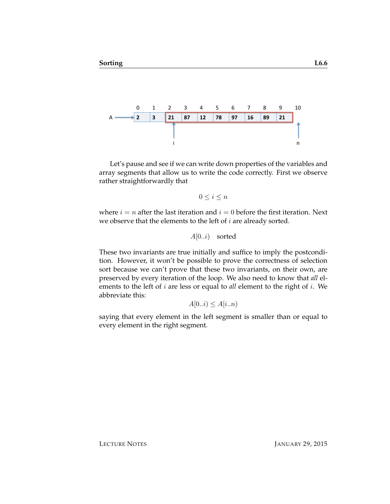

Let's pause and see if we can write down properties of the variables and array segments that allow us to write the code correctly. First we observe rather straightforwardly that

$$
0 \le i \le n
$$

where  $i = n$  after the last iteration and  $i = 0$  before the first iteration. Next we observe that the elements to the left of  $i$  are already sorted.

 $A[0..i)$  sorted

These two invariants are true initially and suffice to imply the postcondition. However, it won't be possible to prove the correctness of selection sort because we can't prove that these two invariants, on their own, are preserved by every iteration of the loop. We also need to know that *all* elements to the left of i are less or equal to *all* element to the right of i. We abbreviate this:

 $A[0..i) \leq A[i..n]$ 

saying that every element in the left segment is smaller than or equal to every element in the right segment.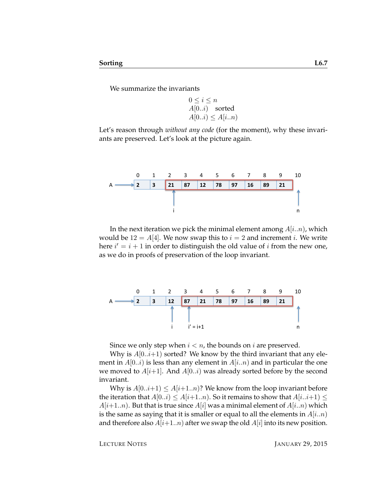We summarize the invariants

$$
0 \le i \le n
$$
  
A[0..i) sorted  
A[0..i) \le A[i..n)

Let's reason through *without any code* (for the moment), why these invariants are preserved. Let's look at the picture again.



In the next iteration we pick the minimal element among  $A[i..n]$ , which would be  $12 = A[4]$ . We now swap this to  $i = 2$  and increment i. We write here  $i' = i + 1$  in order to distinguish the old value of i from the new one, as we do in proofs of preservation of the loop invariant.



Since we only step when  $i < n$ , the bounds on i are preserved.

Why is  $A[0..i+1)$  sorted? We know by the third invariant that any element in  $A[0..i)$  is less than any element in  $A[i..n)$  and in particular the one we moved to  $A[i+1]$ . And  $A[0..i)$  was already sorted before by the second invariant.

Why is  $A[0..i+1) \leq A[i+1..n]$ ? We know from the loop invariant before the iteration that  $A[0..i) \leq A[i+1..n]$ . So it remains to show that  $A[i..i+1] \leq$  $A[i+1..n]$ . But that is true since  $A[i]$  was a minimal element of  $A[i..n]$  which is the same as saying that it is smaller or equal to all the elements in  $A[i..n]$ and therefore also  $A[i+1..n]$  after we swap the old  $A[i]$  into its new position.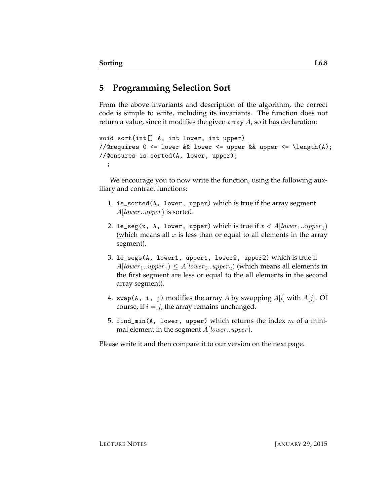# **5 Programming Selection Sort**

From the above invariants and description of the algorithm, the correct code is simple to write, including its invariants. The function does not return a value, since it modifies the given array A, so it has declaration:

```
void sort(int[] A, int lower, int upper)
//@requires 0 <= lower && lower <= upper && upper <= \length(A);
//@ensures is_sorted(A, lower, upper);
  ;
```
We encourage you to now write the function, using the following auxiliary and contract functions:

- 1. is\_sorted(A, lower, upper) which is true if the array segment  $A[lower..upper]$  is sorted.
- 2. le\_seg(x, A, lower, upper) which is true if  $x < A[lower_1..upper_1]$ (which means all  $x$  is less than or equal to all elements in the array segment).
- 3. le\_segs(A, lower1, upper1, lower2, upper2) which is true if  $A[lower_1..upper_1) \le A[lower_2..upper_2)$  (which means all elements in the first segment are less or equal to the all elements in the second array segment).
- 4. swap(A, i, j) modifies the array A by swapping  $A[i]$  with  $A[j]$ . Of course, if  $i = j$ , the array remains unchanged.
- 5. find\_min(A, lower, upper) which returns the index  $m$  of a minimal element in the segment  $A[lower..upper]$ .

Please write it and then compare it to our version on the next page.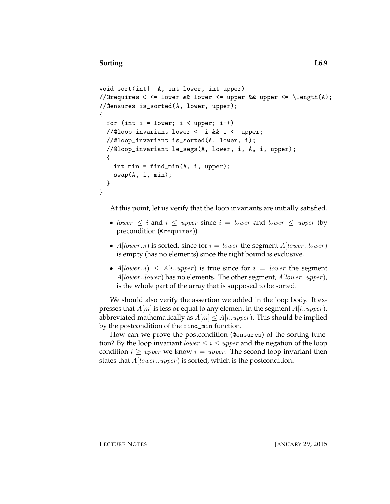```
void sort(int[] A, int lower, int upper)
//@requires 0 \leq lower && lower \leq upper && upper \leq \length(A);
//@ensures is_sorted(A, lower, upper);
{
  for (int i = lower; i < upper; i++)//@loop_invariant lower <= i && i <= upper;
 //@loop_invariant is_sorted(A, lower, i);
 //@loop_invariant le_segs(A, lower, i, A, i, upper);
  {
   int min = find_min(A, i, upper);swap(A, i, min);
  }
}
```
At this point, let us verify that the loop invariants are initially satisfied.

- lower  $\leq i$  and  $i \leq upper$  since  $i = lower$  and lower  $\leq upper$  (by precondition (@requires)).
- $A[lower..i)$  is sorted, since for  $i = lower$  the segment  $A[lower..lower]$ is empty (has no elements) since the right bound is exclusive.
- $A[lower..i] \leq A[i..upper]$  is true since for  $i = lower$  the segment  $A[lower.lower]$  has no elements. The other segment,  $A[lower.upper]$ , is the whole part of the array that is supposed to be sorted.

We should also verify the assertion we added in the loop body. It expresses that  $A[m]$  is less or equal to any element in the segment  $A[i..upper]$ , abbreviated mathematically as  $A[m] \leq A[i..upper)$ . This should be implied by the postcondition of the find\_min function.

How can we prove the postcondition (@ensures) of the sorting function? By the loop invariant *lower*  $\leq i \leq upper$  and the negation of the loop condition  $i \geq upper$  we know  $i = upper$ . The second loop invariant then states that  $A[lower..upper)$  is sorted, which is the postcondition.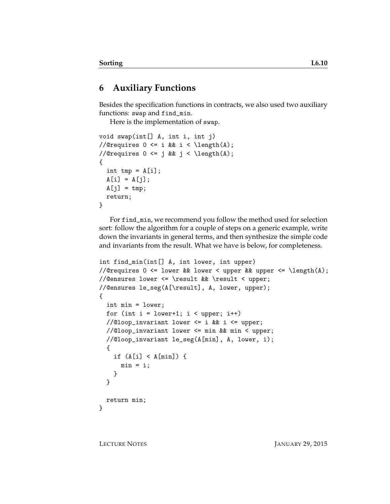## **6 Auxiliary Functions**

Besides the specification functions in contracts, we also used two auxiliary functions: swap and find\_min.

Here is the implementation of swap.

```
void swap(int[] A, int i, int j)
//@requires 0 \leq i && i \leq \operatorname{length}(A);
//@requires 0 \leq j && j \leq \operatorname{length}(A);
{
  int tmp = A[i];
  A[i] = A[j];A[j] = tmp;return;
}
```
For find\_min, we recommend you follow the method used for selection sort: follow the algorithm for a couple of steps on a generic example, write down the invariants in general terms, and then synthesize the simple code and invariants from the result. What we have is below, for completeness.

```
int find_min(int[] A, int lower, int upper)
//@requires 0 \leq lower && lower \leq upper && upper \leq \length(A);
//@ensures lower <= \result && \result < upper;
//@ensures le_seg(A[\result], A, lower, upper);
{
  int min = lower;
 for (int i = lower+1; i < upper; i+1)
  //@loop_invariant lower <= i && i <= upper;
  //@loop_invariant lower <= min && min < upper;
  //@loop_invariant le_seg(A[min], A, lower, i);
  {
    if (A[i] < A[\min]) {
      min = i;}
  }
  return min;
}
```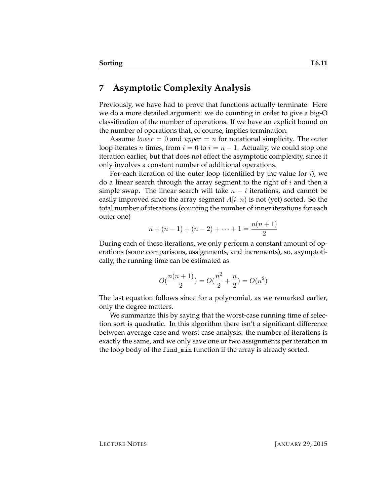### **7 Asymptotic Complexity Analysis**

Previously, we have had to prove that functions actually terminate. Here we do a more detailed argument: we do counting in order to give a big-O classification of the number of operations. If we have an explicit bound on the number of operations that, of course, implies termination.

Assume *lower* = 0 and *upper* = *n* for notational simplicity. The outer loop iterates *n* times, from  $i = 0$  to  $i = n - 1$ . Actually, we could stop one iteration earlier, but that does not effect the asymptotic complexity, since it only involves a constant number of additional operations.

For each iteration of the outer loop (identified by the value for  $i$ ), we do a linear search through the array segment to the right of  $i$  and then a simple swap. The linear search will take  $n - i$  iterations, and cannot be easily improved since the array segment  $A[i..n]$  is not (yet) sorted. So the total number of iterations (counting the number of inner iterations for each outer one)

$$
n + (n - 1) + (n - 2) + \dots + 1 = \frac{n(n + 1)}{2}
$$

During each of these iterations, we only perform a constant amount of operations (some comparisons, assignments, and increments), so, asymptotically, the running time can be estimated as

$$
O(\frac{n(n+1)}{2}) = O(\frac{n^2}{2} + \frac{n}{2}) = O(n^2)
$$

The last equation follows since for a polynomial, as we remarked earlier, only the degree matters.

We summarize this by saying that the worst-case running time of selection sort is quadratic. In this algorithm there isn't a significant difference between average case and worst case analysis: the number of iterations is exactly the same, and we only save one or two assignments per iteration in the loop body of the find\_min function if the array is already sorted.